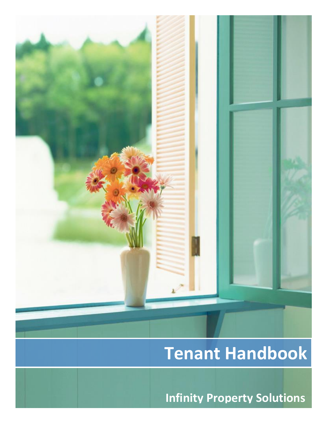

**Infinity Property Solutions**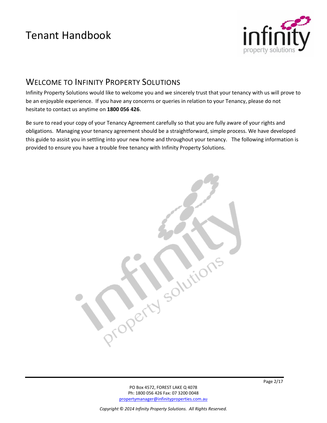

### WELCOME TO INFINITY PROPERTY SOLUTIONS

Infinity Property Solutions would like to welcome you and we sincerely trust that your tenancy with us will prove to be an enjoyable experience. If you have any concerns or queries in relation to your Tenancy, please do not hesitate to contact us anytime on **1800 056 426**.

Be sure to read your copy of your Tenancy Agreement carefully so that you are fully aware of your rights and obligations. Managing your tenancy agreement should be a straightforward, simple process. We have developed this guide to assist you in settling into your new home and throughout your tenancy. The following information is provided to ensure you have a trouble free tenancy with Infinity Property Solutions.

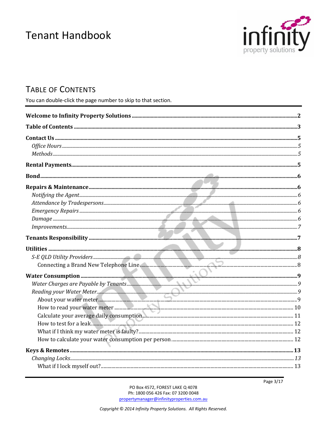

# **TABLE OF CONTENTS**

You can double-click the page number to skip to that section.

Page 3/17

PO Box 4572, FOREST LAKE Q 4078 Ph: 1800 056 426 Fax: 07 3200 0048 propertymanager@infinityproperties.com.au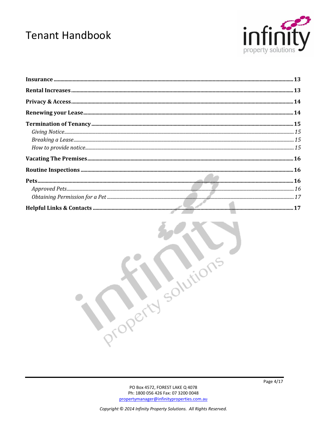



,roperty solutions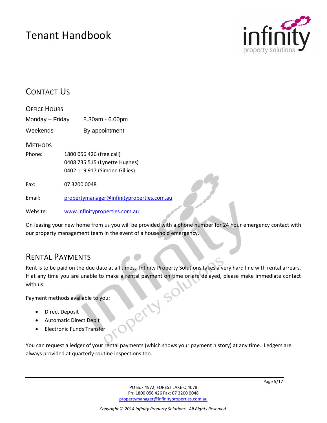

### CONTACT US

| <b>OFFICE HOURS</b> |                                           |  |
|---------------------|-------------------------------------------|--|
| Monday - Friday     | $8.30am - 6.00pm$                         |  |
| Weekends            | By appointment                            |  |
| <b>METHODS</b>      |                                           |  |
| Phone:              | 1800 056 426 (free call)                  |  |
|                     | 0408 735 515 (Lynette Hughes)             |  |
|                     | 0402 119 917 (Simone Gillies)             |  |
| Fax:                | 07 3200 0048                              |  |
| Fmail:              | propertymanager@infinityproperties.com.au |  |
| Website:            | www.infinityproperties.com.au             |  |

On leasing your new home from us you will be provided with a phone number for 24 hour emergency contact with our property management team in the event of a household emergency.

### RENTAL PAYMENTS

Rent is to be paid on the due date at all times. Infinity Property Solutions takes a very hard line with rental arrears. If at any time you are unable to make a rental payment on time or are delayed, please make immediate contact Refusor with us.

Payment methods available to you:

- Direct Deposit
- Automatic Direct Debit
- Electronic Funds Transfer

You can request a ledger of your rental payments (which shows your payment history) at any time. Ledgers are always provided at quarterly routine inspections too.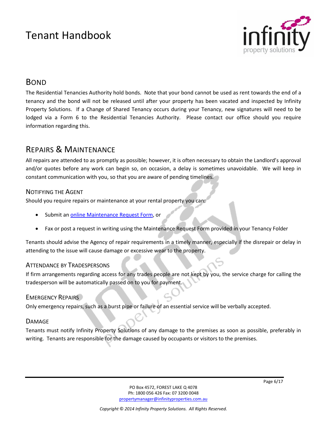

### BOND

The Residential Tenancies Authority hold bonds. Note that your bond cannot be used as rent towards the end of a tenancy and the bond will not be released until after your property has been vacated and inspected by Infinity Property Solutions. If a Change of Shared Tenancy occurs during your Tenancy, new signatures will need to be lodged via a Form 6 to the Residential Tenancies Authority. Please contact our office should you require information regarding this.

### REPAIRS & MAINTENANCE

All repairs are attended to as promptly as possible; however, it is often necessary to obtain the Landlord's approval and/or quotes before any work can begin so, on occasion, a delay is sometimes unavoidable. We will keep in constant communication with you, so that you are aware of pending timelines.

#### NOTIFYING THE AGENT

Should you require repairs or maintenance at your rental property you can:

- Submit an [online Maintenance Request Form,](https://adobeformscentral.com/?f=naDBLi7cjDVkBcEiz07sQA) or
- Fax or post a request in writing using the Maintenance Request Form provided in your Tenancy Folder

Tenants should advise the Agency of repair requirements in a timely manner, especially if the disrepair or delay in attending to the issue will cause damage or excessive wear to the property.

#### ATTENDANCE BY TRADESPERSONS

If firm arrangements regarding access for any trades people are not kept by you, the service charge for calling the tradesperson will be automatically passed on to you for payment.

#### EMERGENCY REPAIRS

Only emergency repairs, such as a burst pipe or failure of an essential service will be verbally accepted.

#### **DAMAGF**

Tenants must notify Infinity Property Solutions of any damage to the premises as soon as possible, preferably in writing. Tenants are responsible for the damage caused by occupants or visitors to the premises.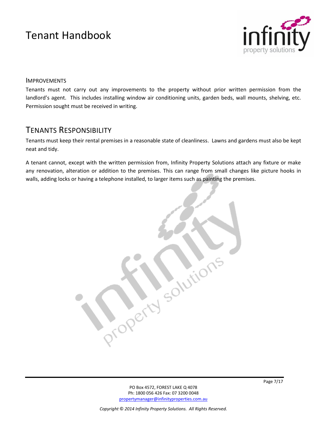

#### IMPROVEMENTS

Tenants must not carry out any improvements to the property without prior written permission from the landlord's agent. This includes installing window air conditioning units, garden beds, wall mounts, shelving, etc. Permission sought must be received in writing.

### TENANTS RESPONSIBILITY

Tenants must keep their rental premises in a reasonable state of cleanliness. Lawns and gardens must also be kept neat and tidy.

A tenant cannot, except with the written permission from, Infinity Property Solutions attach any fixture or make any renovation, alteration or addition to the premises. This can range from small changes like picture hooks in walls, adding locks or having a telephone installed, to larger items such as painting the premises.

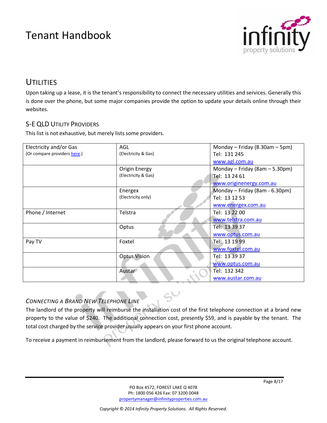

### **UTILITIES**

Upon taking up a lease, it is the tenant's responsibility to connect the necessary utilities and services. Generally this is done over the phone, but some major companies provide the option to update your details online through their websites.

#### S-E QLD UTILITY PROVIDERS

This list is not exhaustive, but merely lists some providers.

| Electricity and/or Gas       | AGL                  | Monday - Friday $(8.30am - 5pm)$ |
|------------------------------|----------------------|----------------------------------|
| (Or compare providers here.) | (Electricity & Gas)  | Tel: 131 245                     |
|                              |                      | www.agl.com.au                   |
|                              | <b>Origin Energy</b> | Monday - Friday (8am - 5.30pm)   |
|                              | (Electricity & Gas)  | Tel: 13 24 61                    |
|                              |                      | www.originenergy.com.au          |
|                              | Energex              | Monday - Friday (8am - 6.30pm)   |
|                              | (Electricity only)   | Tel: 13 12 53                    |
|                              |                      | www.energex.com.au               |
| Phone / Internet             | Telstra              | Tel: 13 22 00                    |
|                              |                      | www.telstra.com.au               |
|                              | Optus                | Tel: 13 39 37                    |
|                              |                      | www.optus.com.au                 |
| Pay TV                       | Foxtel               | Tel: 13 19 99                    |
|                              |                      | www.foxtel.com.au                |
|                              | <b>Optus Vision</b>  | Tel: 13 39 37                    |
|                              |                      | www.optus.com.au                 |
|                              | Austar               | Tel: 132 342                     |
|                              |                      | www.austar.com.au                |

#### *CONNECTING A BRAND NEW TELEPHONE LINE*

The landlord of the property will reimburse the installation cost of the first telephone connection at a brand new property to the value of \$240. The additional connection cost, presently \$59, and is payable by the tenant. The total cost charged by the service provider usually appears on your first phone account.

To receive a payment in reimbursement from the landlord, please forward to us the original telephone account.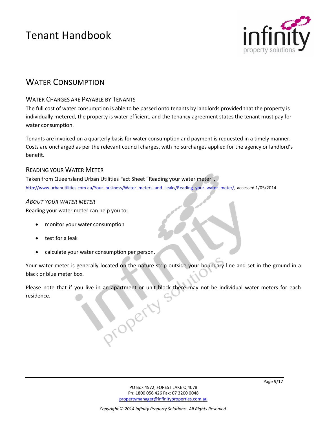

### WATER CONSUMPTION

#### WATER CHARGES ARE PAYABLE BY TENANTS

The full cost of water consumption is able to be passed onto tenants by landlords provided that the property is individually metered, the property is water efficient, and the tenancy agreement states the tenant must pay for water consumption.

Tenants are invoiced on a quarterly basis for water consumption and payment is requested in a timely manner. Costs are oncharged as per the relevant council charges, with no surcharges applied for the agency or landlord's benefit.

#### READING YOUR WATER METER

Taken from Queensland Urban Utilities Fact Sheet "Reading your water meter", [http://www.urbanutilities.com.au/Your\\_business/Water\\_meters\\_and\\_Leaks/Reading\\_your\\_water\\_meter/](http://www.urbanutilities.com.au/Your_business/Water_meters_and_Leaks/Reading_your_water_meter/), accessed 1/05/2014.

#### *ABOUT YOUR WATER METER*

Reading your water meter can help you to:

- monitor your water consumption
- test for a leak
- calculate your water consumption per person.

Your water meter is generally located on the nature strip outside your boundary line and set in the ground in a black or blue meter box.

Please note that if you live in an apartment or unit block there may not be individual water meters for each residence.operty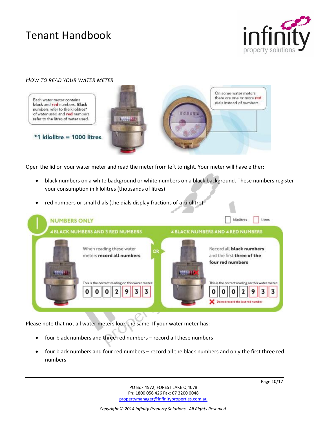

#### *HOW TO READ YOUR WATER METER*



Open the lid on your water meter and read the meter from left to right. Your meter will have either:

- black numbers on a white background or white numbers on a black background. These numbers register your consumption in kilolitres (thousands of litres)
- red numbers or small dials (the dials display fractions of a kilolitre).



Please note that not all water meters look the same. If your water meter has:

- four black numbers and three red numbers record all these numbers
- four black numbers and four red numbers record all the black numbers and only the first three red numbers

PO Box 4572, FOREST LAKE Q 4078 Ph: 1800 056 426 Fax: 07 3200 0048 [propertymanager@infinityproperties.com.au](mailto:propertymanager@infinityproperties.com.au)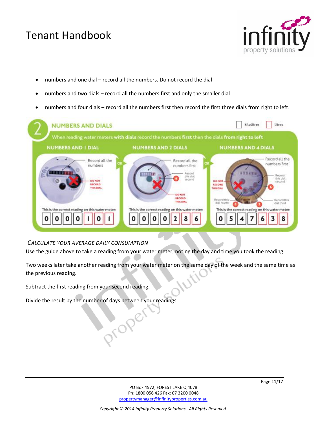

- numbers and one dial record all the numbers. Do not record the dial
- numbers and two dials record all the numbers first and only the smaller dial
- numbers and four dials record all the numbers first then record the first three dials from right to left.



#### *CALCULATE YOUR AVERAGE DAILY CONSUMPTION*

Use the guide above to take a reading from your water meter, noting the day and time you took the reading.

Two weeks later take another reading from your water meter on the same day of the week and the same time as the previous reading.

Subtract the first reading from your second reading.

Divide the result by the number of days between your readings.

proper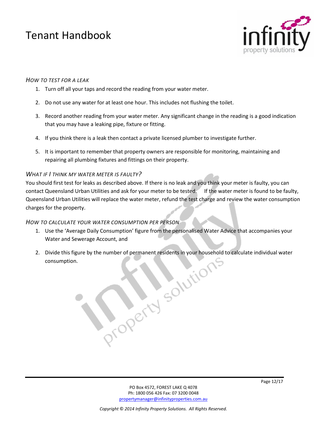

#### *HOW TO TEST FOR A LEAK*

- 1. Turn off all your taps and record the reading from your water meter.
- 2. Do not use any water for at least one hour. This includes not flushing the toilet.
- 3. Record another reading from your water meter. Any significant change in the reading is a good indication that you may have a leaking pipe, fixture or fitting.
- 4. If you think there is a leak then contact a private licensed plumber to investigate further.
- 5. It is important to remember that property owners are responsible for monitoring, maintaining and repairing all plumbing fixtures and fittings on their property.

#### *WHAT IF I THINK MY WATER METER IS FAULTY?*

You should first test for leaks as described above. If there is no leak and you think your meter is faulty, you can contact Queensland Urban Utilities and ask for your meter to be tested. If the water meter is found to be faulty, Queensland Urban Utilities will replace the water meter, refund the test charge and review the water consumption charges for the property.

#### *HOW TO CALCULATE YOUR WATER CONSUMPTION PER PERSON*

- 1. Use the 'Average Daily Consumption' figure from the personalised Water Advice that accompanies your Water and Sewerage Account, and
- 2. Divide this figure by the number of permanent residents in your household to calculate individual water consumption. consumption.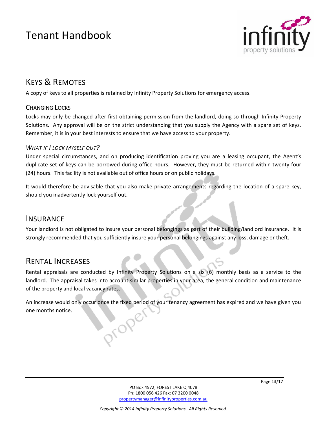

# KEYS & REMOTES

A copy of keys to all properties is retained by Infinity Property Solutions for emergency access.

#### CHANGING LOCKS

Locks may only be changed after first obtaining permission from the landlord, doing so through Infinity Property Solutions. Any approval will be on the strict understanding that you supply the Agency with a spare set of keys. Remember, it is in your best interests to ensure that we have access to your property.

#### *WHAT IF I LOCK MYSELF OUT?*

Under special circumstances, and on producing identification proving you are a leasing occupant, the Agent's duplicate set of keys can be borrowed during office hours. However, they must be returned within twenty-four (24) hours. This facility is not available out of office hours or on public holidays.

It would therefore be advisable that you also make private arrangements regarding the location of a spare key, should you inadvertently lock yourself out.

### **INSURANCE**

Your landlord is not obligated to insure your personal belongings as part of their building/landlord insurance. It is strongly recommended that you sufficiently insure your personal belongings against any loss, damage or theft.

### RENTAL INCREASES

Rental appraisals are conducted by Infinity Property Solutions on a six (6) monthly basis as a service to the landlord. The appraisal takes into account similar properties in your area, the general condition and maintenance of the property and local vacancy rates.

An increase would only occur once the fixed period of your tenancy agreement has expired and we have given you one months notice. oroper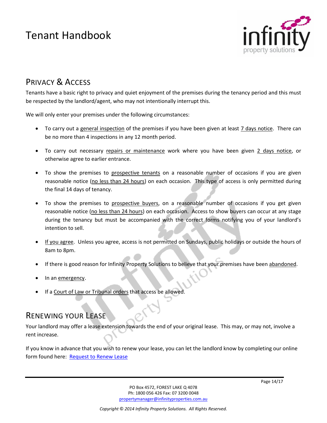

# PRIVACY & ACCESS

Tenants have a basic right to privacy and quiet enjoyment of the premises during the tenancy period and this must be respected by the landlord/agent, who may not intentionally interrupt this.

We will only enter your premises under the following circumstances:

- To carry out a general inspection of the premises if you have been given at least 7 days notice. There can be no more than 4 inspections in any 12 month period.
- To carry out necessary repairs or maintenance work where you have been given 2 days notice, or otherwise agree to earlier entrance.
- To show the premises to prospective tenants on a reasonable number of occasions if you are given reasonable notice (no less than 24 hours) on each occasion. This type of access is only permitted during the final 14 days of tenancy.
- To show the premises to prospective buyers, on a reasonable number of occasions if you get given reasonable notice (no less than 24 hours) on each occasion. Access to show buyers can occur at any stage during the tenancy but must be accompanied with the correct forms notifying you of your landlord's intention to sell.
- If you agree. Unless you agree, access is not permitted on Sundays, public holidays or outside the hours of 8am to 8pm.
- If there is good reason for Infinity Property Solutions to believe that your premises have been abandoned.
- In an emergency.
- If a Court of Law or Tribunal orders that access be allowed.

### RENEWING YOUR LEASE

Your landlord may offer a lease extension towards the end of your original lease. This may, or may not, involve a rent increase.

If you know in advance that you wish to renew your lease, you can let the landlord know by completing our online form found here: [Request to Renew Lease](https://adobeformscentral.com/?f=upvO9pFWkwV60U-bpcuBIw)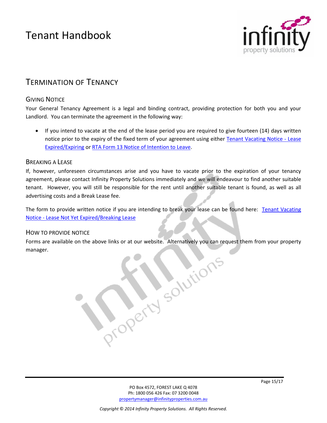

### TERMINATION OF TENANCY

#### **GIVING NOTICE**

Your General Tenancy Agreement is a legal and binding contract, providing protection for both you and your Landlord. You can terminate the agreement in the following way:

 If you intend to vacate at the end of the lease period you are required to give fourteen (14) days written notice prior to the expiry of the fixed term of your agreement using either [Tenant Vacating Notice -](http://infinityproperties.com.au/uploads/images/pdf/T-Tenant_Vacating_Notice_AgmtExpired_FC2014.pdf) Lease [Expired/Expiring](http://infinityproperties.com.au/uploads/images/pdf/T-Tenant_Vacating_Notice_AgmtExpired_FC2014.pdf) o[r RTA Form 13 Notice of Intention to Leave.](http://www.rta.qld.gov.au/Resources/Forms/Forms-for-general-tenancies/Notice-of-intention-to-leave-Form-13)

#### BREAKING A LEASE

If, however, unforeseen circumstances arise and you have to vacate prior to the expiration of your tenancy agreement, please contact Infinity Property Solutions immediately and we will endeavour to find another suitable tenant. However, you will still be responsible for the rent until another suitable tenant is found, as well as all advertising costs and a Break Lease fee.

The form to provide written notice if you are intending to break your lease can be found here: [Tenant Vacating](http://infinityproperties.com.au/uploads/images/pdf/T-Tenant_Vacating_Notice_BreakLease_FC2014.pdf)  Notice - [Lease Not Yet Expired/Breaking Lease](http://infinityproperties.com.au/uploads/images/pdf/T-Tenant_Vacating_Notice_BreakLease_FC2014.pdf)

#### HOW TO PROVIDE NOTICE

Forms are available on the above links or at our website. Alternatively you can request them from your property manager. manager.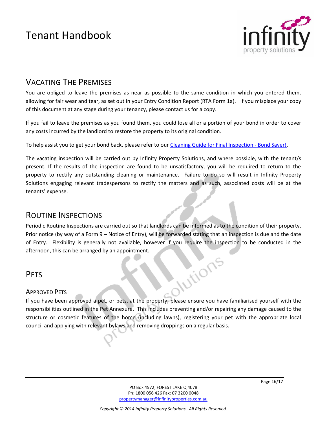

### VACATING THE PREMISES

You are obliged to leave the premises as near as possible to the same condition in which you entered them, allowing for fair wear and tear, as set out in your Entry Condition Report (RTA Form 1a). If you misplace your copy of this document at any stage during your tenancy, please contact us for a copy.

If you fail to leave the premises as you found them, you could lose all or a portion of your bond in order to cover any costs incurred by the landlord to restore the property to its original condition.

To help assist you to get your bond back, please refer to ou[r Cleaning Guide for Final Inspection -](http://infinityproperties.com.au/uploads/images/pdf/Vacating%20Guide.pdf) Bond Saver!.

The vacating inspection will be carried out by Infinity Property Solutions, and where possible, with the tenant/s present. If the results of the inspection are found to be unsatisfactory, you will be required to return to the property to rectify any outstanding cleaning or maintenance. Failure to do so will result in Infinity Property Solutions engaging relevant tradespersons to rectify the matters and as such, associated costs will be at the tenants' expense.

### ROUTINE INSPECTIONS

Periodic Routine Inspections are carried out so that landlords can be informed as to the condition of their property. Prior notice (by way of a Form 9 – Notice of Entry), will be forwarded stating that an inspection is due and the date of Entry. Flexibility is generally not available, however if you require the inspection to be conducted in the afternoon, this can be arranged by an appointment. **Mitions** 

### PFTS

#### APPROVED PETS

If you have been approved a pet, or pets, at the property, please ensure you have familiarised yourself with the responsibilities outlined in the Pet Annexure. This includes preventing and/or repairing any damage caused to the structure or cosmetic features of the home (including lawns), registering your pet with the appropriate local council and applying with relevant bylaws and removing droppings on a regular basis.